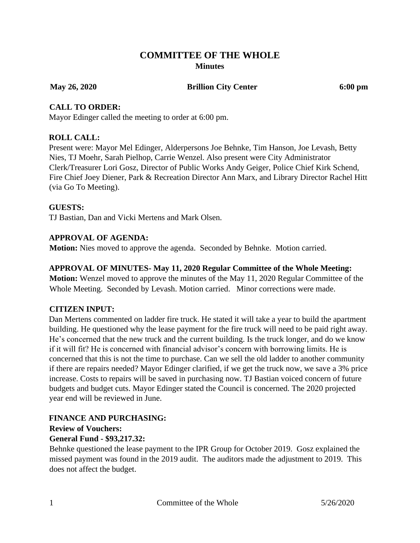# **COMMITTEE OF THE WHOLE Minutes**

**May 26, 2020 Brillion City Center 6:00 pm**

#### **CALL TO ORDER:**

Mayor Edinger called the meeting to order at 6:00 pm.

#### **ROLL CALL:**

Present were: Mayor Mel Edinger, Alderpersons Joe Behnke, Tim Hanson, Joe Levash, Betty Nies, TJ Moehr, Sarah Pielhop, Carrie Wenzel. Also present were City Administrator Clerk/Treasurer Lori Gosz, Director of Public Works Andy Geiger, Police Chief Kirk Schend, Fire Chief Joey Diener, Park & Recreation Director Ann Marx, and Library Director Rachel Hitt (via Go To Meeting).

#### **GUESTS:**

TJ Bastian, Dan and Vicki Mertens and Mark Olsen.

#### **APPROVAL OF AGENDA:**

**Motion:** Nies moved to approve the agenda. Seconded by Behnke. Motion carried.

#### **APPROVAL OF MINUTES- May 11, 2020 Regular Committee of the Whole Meeting:**

**Motion:** Wenzel moved to approve the minutes of the May 11, 2020 Regular Committee of the Whole Meeting. Seconded by Levash. Motion carried. Minor corrections were made.

#### **CITIZEN INPUT:**

Dan Mertens commented on ladder fire truck. He stated it will take a year to build the apartment building. He questioned why the lease payment for the fire truck will need to be paid right away. He's concerned that the new truck and the current building. Is the truck longer, and do we know if it will fit? He is concerned with financial advisor's concern with borrowing limits. He is concerned that this is not the time to purchase. Can we sell the old ladder to another community if there are repairs needed? Mayor Edinger clarified, if we get the truck now, we save a 3% price increase. Costs to repairs will be saved in purchasing now. TJ Bastian voiced concern of future budgets and budget cuts. Mayor Edinger stated the Council is concerned. The 2020 projected year end will be reviewed in June.

#### **FINANCE AND PURCHASING: Review of Vouchers:**

# **General Fund - \$93,217.32:**

Behnke questioned the lease payment to the IPR Group for October 2019. Gosz explained the missed payment was found in the 2019 audit. The auditors made the adjustment to 2019. This does not affect the budget.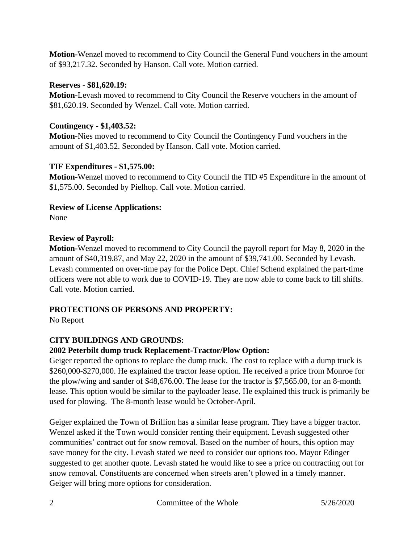**Motion-**Wenzel moved to recommend to City Council the General Fund vouchers in the amount of \$93,217.32. Seconded by Hanson. Call vote. Motion carried.

#### **Reserves** - **\$81,620.19:**

**Motion-**Levash moved to recommend to City Council the Reserve vouchers in the amount of \$81,620.19. Seconded by Wenzel. Call vote. Motion carried.

## **Contingency - \$1,403.52:**

**Motion-**Nies moved to recommend to City Council the Contingency Fund vouchers in the amount of \$1,403.52. Seconded by Hanson. Call vote. Motion carried.

# **TIF Expenditures - \$1,575.00:**

**Motion-**Wenzel moved to recommend to City Council the TID #5 Expenditure in the amount of \$1,575.00. Seconded by Pielhop. Call vote. Motion carried.

# **Review of License Applications:**

None

## **Review of Payroll:**

**Motion-**Wenzel moved to recommend to City Council the payroll report for May 8, 2020 in the amount of \$40,319.87, and May 22, 2020 in the amount of \$39,741.00. Seconded by Levash. Levash commented on over-time pay for the Police Dept. Chief Schend explained the part-time officers were not able to work due to COVID-19. They are now able to come back to fill shifts. Call vote. Motion carried.

# **PROTECTIONS OF PERSONS AND PROPERTY:**

No Report

# **CITY BUILDINGS AND GROUNDS:**

## **2002 Peterbilt dump truck Replacement-Tractor/Plow Option:**

Geiger reported the options to replace the dump truck. The cost to replace with a dump truck is \$260,000-\$270,000. He explained the tractor lease option. He received a price from Monroe for the plow/wing and sander of \$48,676.00. The lease for the tractor is \$7,565.00, for an 8-month lease. This option would be similar to the payloader lease. He explained this truck is primarily be used for plowing. The 8-month lease would be October-April.

Geiger explained the Town of Brillion has a similar lease program. They have a bigger tractor. Wenzel asked if the Town would consider renting their equipment. Levash suggested other communities' contract out for snow removal. Based on the number of hours, this option may save money for the city. Levash stated we need to consider our options too. Mayor Edinger suggested to get another quote. Levash stated he would like to see a price on contracting out for snow removal. Constituents are concerned when streets aren't plowed in a timely manner. Geiger will bring more options for consideration.